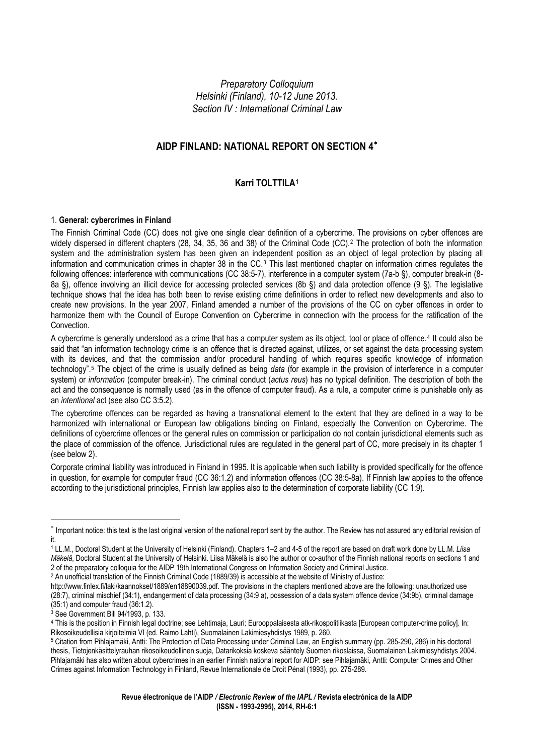*Preparatory Colloquium Helsinki (Finland), 10-12 June 2013. Section IV : International Criminal Law* 

# **AIDP FINLAND: NATIONAL REPORT ON SECTION 4**[∗](#page-0-0)

## **Karri TOLTTILA[1](#page-0-1)**

#### 1. **General: cybercrimes in Finland**

The Finnish Criminal Code (CC) does not give one single clear definition of a cybercrime. The provisions on cyber offences are widely dispersed in different chapters ([2](#page-0-2)8, 34, 35, 36 and 38) of the Criminal Code (CC).<sup>2</sup> The protection of both the information system and the administration system has been given an independent position as an object of legal protection by placing all information and communication crimes in chapter [3](#page-0-3)8 in the  $CC<sup>3</sup>$  This last mentioned chapter on information crimes regulates the following offences: interference with communications (CC 38:5-7), interference in a computer system (7a-b §), computer break-in (8-8a §), offence involving an illicit device for accessing protected services (8b §) and data protection offence (9 §). The legislative technique shows that the idea has both been to revise existing crime definitions in order to reflect new developments and also to create new provisions. In the year 2007, Finland amended a number of the provisions of the CC on cyber offences in order to harmonize them with the Council of Europe Convention on Cybercrime in connection with the process for the ratification of the Convection.

A cybercrime is generally understood as a crime that has a computer system as its object, tool or place of offence.[4](#page-0-4) It could also be said that "an information technology crime is an offence that is directed against, utilizes, or set against the data processing system with its devices, and that the commission and/or procedural handling of which requires specific knowledge of information technology".[5](#page-0-5) The object of the crime is usually defined as being *data* (for example in the provision of interference in a computer system) or *information* (computer break-in). The criminal conduct (*actus reus*) has no typical definition. The description of both the act and the consequence is normally used (as in the offence of computer fraud). As a rule, a computer crime is punishable only as an *intentional* act (see also CC 3:5.2).

The cybercrime offences can be regarded as having a transnational element to the extent that they are defined in a way to be harmonized with international or European law obligations binding on Finland, especially the Convention on Cybercrime. The definitions of cybercrime offences or the general rules on commission or participation do not contain jurisdictional elements such as the place of commission of the offence. Jurisdictional rules are regulated in the general part of CC, more precisely in its chapter 1 (see below 2).

Corporate criminal liability was introduced in Finland in 1995. It is applicable when such liability is provided specifically for the offence in question, for example for computer fraud (CC 36:1.2) and information offences (CC 38:5-8a). If Finnish law applies to the offence according to the jurisdictional principles, Finnish law applies also to the determination of corporate liability (CC 1:9).

<span id="page-0-2"></span>2 An unofficial translation of the Finnish Criminal Code (1889/39) is accessible at the website of Ministry of Justice:

<span id="page-0-0"></span><sup>∗</sup> Important notice: this text is the last original version of the national report sent by the author. The Review has not assured any editorial revision of it.

<span id="page-0-1"></span><sup>1</sup> LL.M., Doctoral Student at the University of Helsinki (Finland). Chapters 1–2 and 4-5 of the report are based on draft work done by LL.M. *Liisa Mäkelä*, Doctoral Student at the University of Helsinki. Liisa Mäkelä is also the author or co-author of the Finnish national reports on sections 1 and 2 of the preparatory colloquia for the AIDP 19th International Congress on Information Society and Criminal Justice.

http://www.finlex.fi/laki/kaannokset/1889/en18890039.pdf. The provisions in the chapters mentioned above are the following: unauthorized use (28:7), criminal mischief (34:1), endangerment of data processing (34:9 a), possession of a data system offence device (34:9b), criminal damage  $(35:1)$  and computer fraud  $(36:1.2)$ .

<span id="page-0-3"></span><sup>3</sup> See Government Bill 94/1993, p. 133.

<span id="page-0-4"></span><sup>4</sup> This is the position in Finnish legal doctrine; see Lehtimaja, Lauri: Eurooppalaisesta atk-rikospolitiikasta [European computer-crime policy]. In: Rikosoikeudellisia kirjoitelmia VI (ed. Raimo Lahti), Suomalainen Lakimiesyhdistys 1989, p. 260.

<span id="page-0-5"></span><sup>5</sup> Citation from Pihlajamäki, Antti: The Protection of Data Processing under Criminal Law, an English summary (pp. 285-290, 286) in his doctoral thesis, Tietojenkäsittelyrauhan rikosoikeudellinen suoja, Datarikoksia koskeva sääntely Suomen rikoslaissa, Suomalainen Lakimiesyhdistys 2004. Pihlajamäki has also written about cybercrimes in an earlier Finnish national report for AIDP: see Pihlajamäki, Antti: Computer Crimes and Other Crimes against Information Technology in Finland, Revue Internationale de Droit Pénal (1993), pp. 275-289.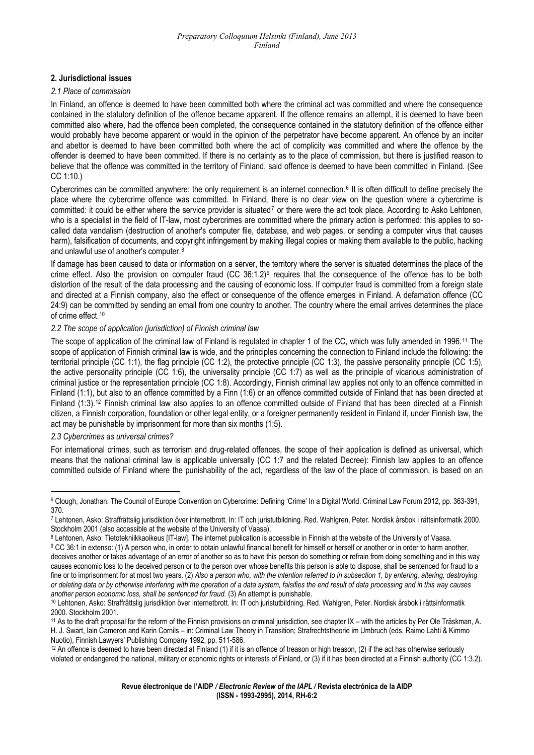### **2. Jurisdictional issues**

#### *2.1 Place of commission*

In Finland, an offence is deemed to have been committed both where the criminal act was committed and where the consequence contained in the statutory definition of the offence became apparent. If the offence remains an attempt, it is deemed to have been committed also where, had the offence been completed, the consequence contained in the statutory definition of the offence either would probably have become apparent or would in the opinion of the perpetrator have become apparent. An offence by an inciter and abettor is deemed to have been committed both where the act of complicity was committed and where the offence by the offender is deemed to have been committed. If there is no certainty as to the place of commission, but there is justified reason to believe that the offence was committed in the territory of Finland, said offence is deemed to have been committed in Finland. (See CC 1:10.)

Cybercrimes can be committed anywhere: the only requirement is an internet connection.[6](#page-1-0) It is often difficult to define precisely the place where the cybercrime offence was committed. In Finland, there is no clear view on the question where a cybercrime is committed: it could be either where the service provider is situated<sup>[7](#page-1-1)</sup> or there were the act took place. According to Asko Lehtonen, who is a specialist in the field of IT-law, most cybercrimes are committed where the primary action is performed: this applies to socalled data vandalism (destruction of another's computer file, database, and web pages, or sending a computer virus that causes harm), falsification of documents, and copyright infringement by making illegal copies or making them available to the public, hacking and unlawful use of another's computer.[8](#page-1-2)

If damage has been caused to data or information on a server, the territory where the server is situated determines the place of the crime effect. Also the provision on computer fraud (CC 36:1.2)[9](#page-1-3) requires that the consequence of the offence has to be both distortion of the result of the data processing and the causing of economic loss. If computer fraud is committed from a foreign state and directed at a Finnish company, also the effect or consequence of the offence emerges in Finland. A defamation offence (CC 24:9) can be committed by sending an email from one country to another. The country where the email arrives determines the place of crime effect.<sup>[10](#page-1-4)</sup>

#### *2.2 The scope of application (jurisdiction) of Finnish criminal law*

The scope of application of the criminal law of Finland is regulated in chapter 1 of the CC, which was fully amended in 1996.[11](#page-1-5) The scope of application of Finnish criminal law is wide, and the principles concerning the connection to Finland include the following: the territorial principle (CC 1:1), the flag principle (CC 1:2), the protective principle (CC 1:3), the passive personality principle (CC 1:5), the active personality principle (CC 1:6), the universality principle (CC 1:7) as well as the principle of vicarious administration of criminal justice or the representation principle (CC 1:8). Accordingly, Finnish criminal law applies not only to an offence committed in Finland (1:1), but also to an offence committed by a Finn (1:6) or an offence committed outside of Finland that has been directed at Finland (1:3).<sup>[12](#page-1-6)</sup> Finnish criminal law also applies to an offence committed outside of Finland that has been directed at a Finnish citizen, a Finnish corporation, foundation or other legal entity, or a foreigner permanently resident in Finland if, under Finnish law, the act may be punishable by imprisonment for more than six months (1:5).

#### *2.3 Cybercrimes as universal crimes?*

For international crimes, such as terrorism and drug-related offences, the scope of their application is defined as universal, which means that the national criminal law is applicable universally (CC 1:7 and the related Decree): Finnish law applies to an offence committed outside of Finland where the punishability of the act, regardless of the law of the place of commission, is based on an

<span id="page-1-0"></span><sup>6</sup> Clough, Jonathan: The Council of Europe Convention on Cybercrime: Defining 'Crime' In a Digital World. Criminal Law Forum 2012, pp. 363-391, 370.

<span id="page-1-1"></span><sup>7</sup> Lehtonen, Asko: Straffrättslig jurisdiktion över internetbrott. In: IT och juristutbildning. Red. Wahlgren, Peter. Nordisk årsbok i rättsinformatik 2000. Stockholm 2001 (also accessible at the website of the University of Vaasa).

<span id="page-1-2"></span><sup>8</sup> Lehtonen, Asko: Tietotekniikkaoikeus [IT-law]. The internet publication is accessible in Finnish at the website of the University of Vaasa.

<span id="page-1-3"></span><sup>9</sup> CC 36:1 in extenso: (1) A person who, in order to obtain unlawful financial benefit for himself or herself or another or in order to harm another, deceives another or takes advantage of an error of another so as to have this person do something or refrain from doing something and in this way causes economic loss to the deceived person or to the person over whose benefits this person is able to dispose, shall be sentenced for fraud to a fine or to imprisonment for at most two years. (2) *Also a person who, with the intention referred to in subsection 1, by entering, altering, destroying or deleting data or by otherwise interfering with the operation of a data system, falsifies the end result of data processing and in this way causes*  another person economic loss, shall be sentenced for fraud. (3) An attempt is punishable.<br><sup>10</sup> Lehtonen, Asko: Straffrättslig jurisdiktion över internetbrott. In: IT och juristutbildning. Red. Wahlgren, Peter. Nordisk årsb

<span id="page-1-4"></span><sup>2000.</sup> Stockholm 2001.

<span id="page-1-5"></span><sup>11</sup> As to the draft proposal for the reform of the Finnish provisions on criminal jurisdiction, see chapter IX – with the articles by Per Ole Träskman, A. H. J. Swart, Iain Cameron and Karin Cornils – in: Criminal Law Theory in Transition; Strafrechtstheorie im Umbruch (eds. Raimo Lahti & Kimmo Nuotio), Finnish Lawyers' Publishing Company 1992, pp. 511-586.

<span id="page-1-6"></span> $12$  An offence is deemed to have been directed at Finland (1) if it is an offence of treason or high treason, (2) if the act has otherwise seriously violated or endangered the national, military or economic rights or interests of Finland, or (3) if it has been directed at a Finnish authority (CC 1:3.2).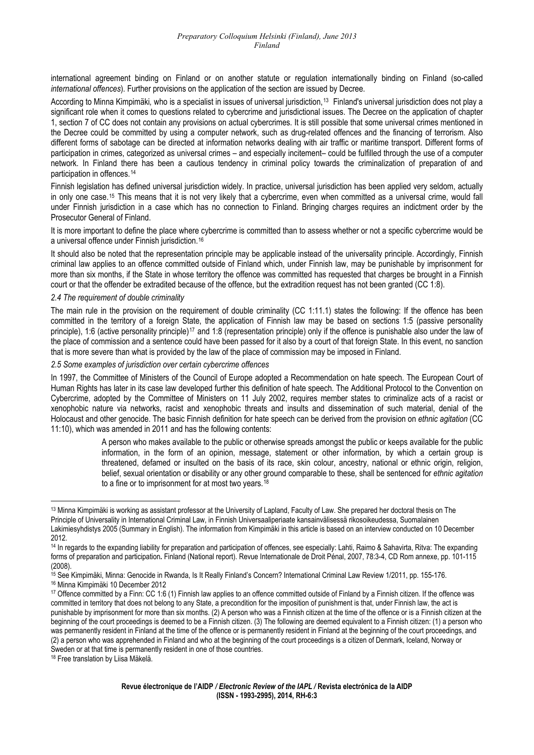international agreement binding on Finland or on another statute or regulation internationally binding on Finland (so-called *international offences*). Further provisions on the application of the section are issued by Decree.

According to Minna Kimpimäki*,* who is a specialist in issues of universal jurisdiction,[13](#page-2-0) Finland's universal jurisdiction does not play a significant role when it comes to questions related to cybercrime and jurisdictional issues. The Decree on the application of chapter 1, section 7 of CC does not contain any provisions on actual cybercrimes. It is still possible that some universal crimes mentioned in the Decree could be committed by using a computer network, such as drug-related offences and the financing of terrorism. Also different forms of sabotage can be directed at information networks dealing with air traffic or maritime transport. Different forms of participation in crimes, categorized as universal crimes – and especially incitement– could be fulfilled through the use of a computer network. In Finland there has been a cautious tendency in criminal policy towards the criminalization of preparation of and participation in offences.[14](#page-2-1)

Finnish legislation has defined universal jurisdiction widely. In practice, universal jurisdiction has been applied very seldom, actually in only one case.[15](#page-2-2) This means that it is not very likely that a cybercrime, even when committed as a universal crime, would fall under Finnish jurisdiction in a case which has no connection to Finland. Bringing charges requires an indictment order by the Prosecutor General of Finland.

It is more important to define the place where cybercrime is committed than to assess whether or not a specific cybercrime would be a universal offence under Finnish jurisdiction.[16](#page-2-3)

It should also be noted that the representation principle may be applicable instead of the universality principle. Accordingly, Finnish criminal law applies to an offence committed outside of Finland which, under Finnish law, may be punishable by imprisonment for more than six months, if the State in whose territory the offence was committed has requested that charges be brought in a Finnish court or that the offender be extradited because of the offence, but the extradition request has not been granted (CC 1:8).

*2.4 The requirement of double criminality* 

The main rule in the provision on the requirement of double criminality (CC 1:11.1) states the following: If the offence has been committed in the territory of a foreign State, the application of Finnish law may be based on sections 1:5 (passive personality principle), 1:6 (active personality principle)<sup>[17](#page-2-4)</sup> and 1:8 (representation principle) only if the offence is punishable also under the law of the place of commission and a sentence could have been passed for it also by a court of that foreign State. In this event, no sanction that is more severe than what is provided by the law of the place of commission may be imposed in Finland.

*2.5 Some examples of jurisdiction over certain cybercrime offences* 

In 1997, the Committee of Ministers of the Council of Europe adopted a Recommendation on hate speech. The European Court of Human Rights has later in its case law developed further this definition of hate speech. The Additional Protocol to the Convention on Cybercrime, adopted by the Committee of Ministers on 11 July 2002, requires member states to criminalize acts of a racist or xenophobic nature via networks, racist and xenophobic threats and insults and dissemination of such material, denial of the Holocaust and other genocide. The basic Finnish definition for hate speech can be derived from the provision on *ethnic agitation* (CC 11:10), which was amended in 2011 and has the following contents:

> A person who makes available to the public or otherwise spreads amongst the public or keeps available for the public information, in the form of an opinion, message, statement or other information, by which a certain group is threatened, defamed or insulted on the basis of its race, skin colour, ancestry, national or ethnic origin, religion, belief, sexual orientation or disability or any other ground comparable to these*,* shall be sentenced for *ethnic agitation*  to a fine or to imprisonment for at most two years.<sup>[18](#page-2-5)</sup>

<span id="page-2-0"></span><sup>&</sup>lt;sup>13</sup> Minna Kimpimäki is working as assistant professor at the University of Lapland, Faculty of Law. She prepared her doctoral thesis on The Principle of Universality in International Criminal Law, in Finnish Universaaliperiaate kansainvälisessä rikosoikeudessa, Suomalainen Lakimiesyhdistys 2005 (Summary in English). The information from Kimpimäki in this article is based on an interview conducted on 10 December 2012.

<span id="page-2-1"></span><sup>14</sup> In regards to the expanding liability for preparation and participation of offences, see especially: Lahti, Raimo & Sahavirta, Ritva: The expanding forms of preparation and participation**.** Finland (National report). Revue Internationale de Droit Pénal, 2007, 78:3-4, CD Rom annexe, pp. 101-115 (2008).

<span id="page-2-2"></span><sup>&</sup>lt;sup>15</sup> See Kimpimäki, Minna: Genocide in Rwanda, Is It Really Finland's Concern? International Criminal Law Review 1/2011, pp. 155-176.<br><sup>16</sup> Minna Kimpimäki 10 December 2012

<span id="page-2-4"></span><span id="page-2-3"></span><sup>&</sup>lt;sup>17</sup> Offence committed by a Finn: CC 1:6 (1) Finnish law applies to an offence committed outside of Finland by a Finnish citizen. If the offence was committed in territory that does not belong to any State, a precondition for the imposition of punishment is that, under Finnish law, the act is punishable by imprisonment for more than six months. (2) A person who was a Finnish citizen at the time of the offence or is a Finnish citizen at the beginning of the court proceedings is deemed to be a Finnish citizen. (3) The following are deemed equivalent to a Finnish citizen: (1) a person who was permanently resident in Finland at the time of the offence or is permanently resident in Finland at the beginning of the court proceedings, and (2) a person who was apprehended in Finland and who at the beginning of the court proceedings is a citizen of Denmark, Iceland, Norway or Sweden or at that time is permanently resident in one of those countries.

<span id="page-2-5"></span><sup>18</sup> Free translation by Liisa Mäkelä.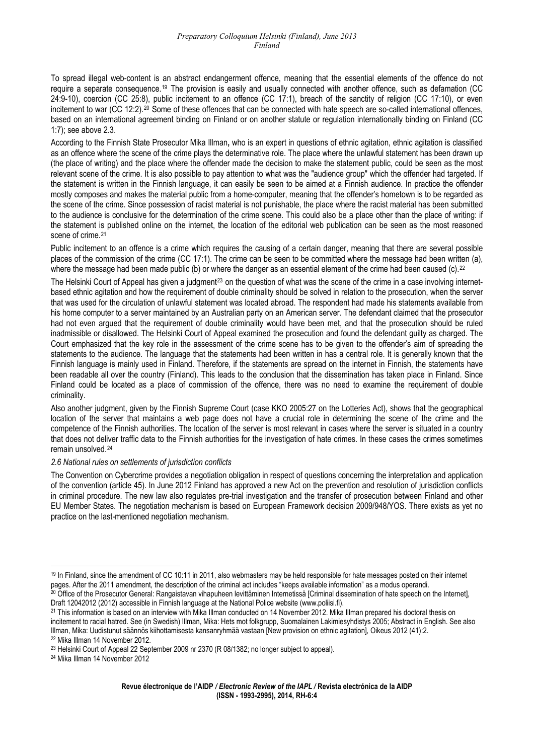To spread illegal web-content is an abstract endangerment offence, meaning that the essential elements of the offence do not require a separate consequence.[19](#page-3-0) The provision is easily and usually connected with another offence, such as defamation (CC 24:9-10), coercion (CC 25:8), public incitement to an offence (CC 17:1), breach of the sanctity of religion (CC 17:10), or even incitement to war (CC 12:2).<sup>[20](#page-3-1)</sup> Some of these offences that can be connected with hate speech are so-called international offences, based on an international agreement binding on Finland or on another statute or regulation internationally binding on Finland (CC 1:7); see above 2.3.

According to the Finnish State Prosecutor Mika Illman**,** who is an expert in questions of ethnic agitation, ethnic agitation is classified as an offence where the scene of the crime plays the determinative role. The place where the unlawful statement has been drawn up (the place of writing) and the place where the offender made the decision to make the statement public, could be seen as the most relevant scene of the crime. It is also possible to pay attention to what was the "audience group" which the offender had targeted. If the statement is written in the Finnish language, it can easily be seen to be aimed at a Finnish audience. In practice the offender mostly composes and makes the material public from a home-computer, meaning that the offender's hometown is to be regarded as the scene of the crime. Since possession of racist material is not punishable, the place where the racist material has been submitted to the audience is conclusive for the determination of the crime scene. This could also be a place other than the place of writing: if the statement is published online on the internet, the location of the editorial web publication can be seen as the most reasoned scene of crime.<sup>[21](#page-3-2)</sup>

Public incitement to an offence is a crime which requires the causing of a certain danger, meaning that there are several possible places of the commission of the crime (CC 17:1). The crime can be seen to be committed where the message had been written (a), where the message had been made public (b) or where the danger as an essential element of the crime had been caused (c).<sup>[22](#page-3-3)</sup>

The Helsinki Court of Appeal has given a judgment<sup>[23](#page-3-4)</sup> on the question of what was the scene of the crime in a case involving internetbased ethnic agitation and how the requirement of double criminality should be solved in relation to the prosecution, when the server that was used for the circulation of unlawful statement was located abroad. The respondent had made his statements available from his home computer to a server maintained by an Australian party on an American server. The defendant claimed that the prosecutor had not even argued that the requirement of double criminality would have been met, and that the prosecution should be ruled inadmissible or disallowed. The Helsinki Court of Appeal examined the prosecution and found the defendant guilty as charged. The Court emphasized that the key role in the assessment of the crime scene has to be given to the offender's aim of spreading the statements to the audience. The language that the statements had been written in has a central role. It is generally known that the Finnish language is mainly used in Finland. Therefore, if the statements are spread on the internet in Finnish, the statements have been readable all over the country (Finland). This leads to the conclusion that the dissemination has taken place in Finland. Since Finland could be located as a place of commission of the offence, there was no need to examine the requirement of double criminality.

Also another judgment, given by the Finnish Supreme Court (case KKO 2005:27 on the Lotteries Act), shows that the geographical location of the server that maintains a web page does not have a crucial role in determining the scene of the crime and the competence of the Finnish authorities. The location of the server is most relevant in cases where the server is situated in a country that does not deliver traffic data to the Finnish authorities for the investigation of hate crimes. In these cases the crimes sometimes remain unsolved.[24](#page-3-5)

#### *2.6 National rules on settlements of jurisdiction conflicts*

The Convention on Cybercrime provides a negotiation obligation in respect of questions concerning the interpretation and application of the convention (article 45). In June 2012 Finland has approved a new Act on the prevention and resolution of jurisdiction conflicts in criminal procedure. The new law also regulates pre-trial investigation and the transfer of prosecution between Finland and other EU Member States. The negotiation mechanism is based on European Framework decision 2009/948/YOS. There exists as yet no practice on the last-mentioned negotiation mechanism.

<span id="page-3-5"></span>24 Mika Illman 14 November 2012

<span id="page-3-0"></span> $19$  In Finland, since the amendment of CC 10:11 in 2011, also webmasters may be held responsible for hate messages posted on their internet pages. After the 2011 amendment, the description of the criminal act includes "k <sup>20</sup> Office of the Prosecutor General: Rangaistavan vihapuheen levittäminen Internetissä [Criminal dissemination of hate speech on the Internet],

<span id="page-3-2"></span><span id="page-3-1"></span>Draft 12042012 (2012) accessible in Finnish language at the National Police website (www.poliisi.fi).<br><sup>21</sup> This information is based on an interview with Mika Illman conducted on 14 November 2012. Mika Illman prepared his incitement to racial hatred. See (in Swedish) Illman, Mika: Hets mot folkgrupp, Suomalainen Lakimiesyhdistys 2005; Abstract in English. See also Illman, Mika: Uudistunut säännös kiihottamisesta kansanryhmää vastaan [New provision on ethnic agitation], Oikeus 2012 (41):2. 22 Mika Illman 14 November 2012.

<span id="page-3-4"></span><span id="page-3-3"></span><sup>23</sup> Helsinki Court of Appeal 22 September 2009 nr 2370 (R 08/1382; no longer subject to appeal).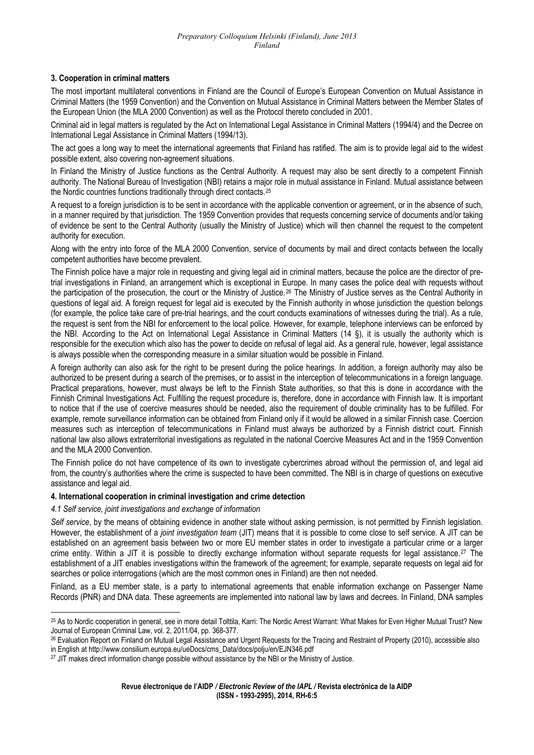### **3. Cooperation in criminal matters**

The most important multilateral conventions in Finland are the Council of Europe's European Convention on Mutual Assistance in Criminal Matters (the 1959 Convention) and the Convention on Mutual Assistance in Criminal Matters between the Member States of the European Union (the MLA 2000 Convention) as well as the Protocol thereto concluded in 2001.

Criminal aid in legal matters is regulated by the Act on International Legal Assistance in Criminal Matters (1994/4) and the Decree on International Legal Assistance in Criminal Matters (1994/13).

The act goes a long way to meet the international agreements that Finland has ratified. The aim is to provide legal aid to the widest possible extent, also covering non-agreement situations.

In Finland the Ministry of Justice functions as the Central Authority. A request may also be sent directly to a competent Finnish authority. The National Bureau of Investigation (NBI) retains a major role in mutual assistance in Finland. Mutual assistance between the Nordic countries functions traditionally through direct contacts.<sup>[25](#page-4-0)</sup>

A request to a foreign jurisdiction is to be sent in accordance with the applicable convention or agreement, or in the absence of such, in a manner required by that jurisdiction. The 1959 Convention provides that requests concerning service of documents and/or taking of evidence be sent to the Central Authority (usually the Ministry of Justice) which will then channel the request to the competent authority for execution.

Along with the entry into force of the MLA 2000 Convention, service of documents by mail and direct contacts between the locally competent authorities have become prevalent.

The Finnish police have a major role in requesting and giving legal aid in criminal matters, because the police are the director of pretrial investigations in Finland, an arrangement which is exceptional in Europe. In many cases the police deal with requests without the participation of the prosecution, the court or the Ministry of Justice.[26](#page-4-1) The Ministry of Justice serves as the Central Authority in questions of legal aid. A foreign request for legal aid is executed by the Finnish authority in whose jurisdiction the question belongs (for example, the police take care of pre-trial hearings, and the court conducts examinations of witnesses during the trial). As a rule, the request is sent from the NBI for enforcement to the local police. However, for example, telephone interviews can be enforced by the NBI. According to the Act on International Legal Assistance in Criminal Matters (14 §), it is usually the authority which is responsible for the execution which also has the power to decide on refusal of legal aid. As a general rule, however, legal assistance is always possible when the corresponding measure in a similar situation would be possible in Finland.

A foreign authority can also ask for the right to be present during the police hearings. In addition, a foreign authority may also be authorized to be present during a search of the premises, or to assist in the interception of telecommunications in a foreign language. Practical preparations, however, must always be left to the Finnish State authorities, so that this is done in accordance with the Finnish Criminal Investigations Act. Fulfilling the request procedure is, therefore, done in accordance with Finnish law. It is important to notice that if the use of coercive measures should be needed, also the requirement of double criminality has to be fulfilled. For example, remote surveillance information can be obtained from Finland only if it would be allowed in a similar Finnish case. Coercion measures such as interception of telecommunications in Finland must always be authorized by a Finnish district court. Finnish national law also allows extraterritorial investigations as regulated in the national Coercive Measures Act and in the 1959 Convention and the MLA 2000 Convention.

The Finnish police do not have competence of its own to investigate cybercrimes abroad without the permission of, and legal aid from, the country's authorities where the crime is suspected to have been committed. The NBI is in charge of questions on executive assistance and legal aid.

### **4. International cooperation in criminal investigation and crime detection**

*4.1 Self service, joint investigations and exchange of information* 

*Self service*, by the means of obtaining evidence in another state without asking permission, is not permitted by Finnish legislation. However, the establishment of a *joint investigation team* (JIT) means that it is possible to come close to self service. A JIT can be established on an agreement basis between two or more EU member states in order to investigate a particular crime or a larger crime entity. Within a JIT it is possible to directly exchange information without separate requests for legal assistance.[27](#page-4-2) The establishment of a JIT enables investigations within the framework of the agreement; for example, separate requests on legal aid for searches or police interrogations (which are the most common ones in Finland) are then not needed.

Finland, as a EU member state, is a party to international agreements that enable information exchange on Passenger Name Records (PNR) and DNA data. These agreements are implemented into national law by laws and decrees. In Finland, DNA samples

<span id="page-4-0"></span> <sup>25</sup> As to Nordic cooperation in general, see in more detail Tolttila, Karri: The Nordic Arrest Warrant: What Makes for Even Higher Mutual Trust? New Journal of European Criminal Law, vol. 2, 2011/04, pp. 368-377.

<span id="page-4-1"></span><sup>&</sup>lt;sup>26</sup> Evaluation Report on Finland on Mutual Legal Assistance and Urgent Requests for the Tracing and Restraint of Property (2010), accessible also

<span id="page-4-2"></span>in English at http://www.consilium.europa.eu/ueDocs/cms\_Data/docs/polju/en/EJN346.pdf<br><sup>27</sup> JIT makes direct information change possible without assistance by the NBI or the Ministry of Justice.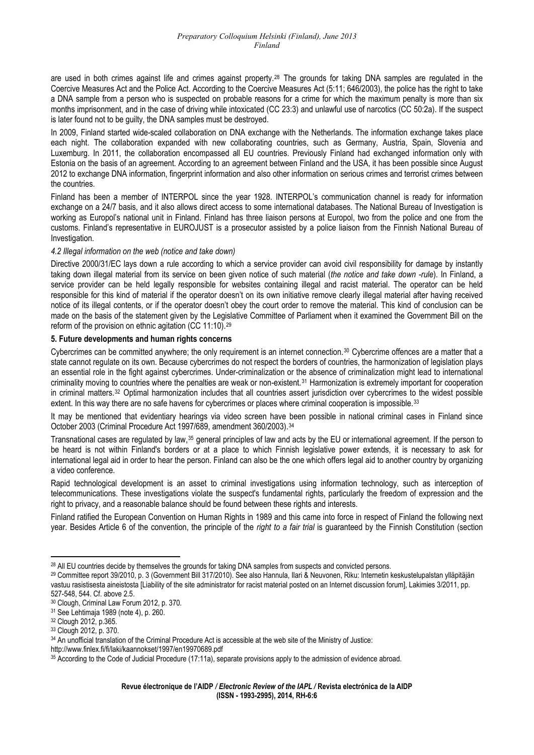are used in both crimes against life and crimes against property.[28](#page-5-0) The grounds for taking DNA samples are regulated in the Coercive Measures Act and the Police Act. According to the Coercive Measures Act (5:11; 646/2003), the police has the right to take a DNA sample from a person who is suspected on probable reasons for a crime for which the maximum penalty is more than six months imprisonment, and in the case of driving while intoxicated (CC 23:3) and unlawful use of narcotics (CC 50:2a). If the suspect is later found not to be guilty, the DNA samples must be destroyed.

In 2009, Finland started wide-scaled collaboration on DNA exchange with the Netherlands. The information exchange takes place each night. The collaboration expanded with new collaborating countries, such as Germany, Austria, Spain, Slovenia and Luxemburg. In 2011, the collaboration encompassed all EU countries. Previously Finland had exchanged information only with Estonia on the basis of an agreement. According to an agreement between Finland and the USA, it has been possible since August 2012 to exchange DNA information, fingerprint information and also other information on serious crimes and terrorist crimes between the countries.

Finland has been a member of INTERPOL since the year 1928. INTERPOL's communication channel is ready for information exchange on a 24/7 basis, and it also allows direct access to some international databases. The National Bureau of Investigation is working as Europol's national unit in Finland. Finland has three liaison persons at Europol, two from the police and one from the customs. Finland's representative in EUROJUST is a prosecutor assisted by a police liaison from the Finnish National Bureau of Investigation.

### *4.2 Illegal information on the web (notice and take down)*

Directive 2000/31/EC lays down a rule according to which a service provider can avoid civil responsibility for damage by instantly taking down illegal material from its service on been given notice of such material (*the notice and take down -rule*). In Finland, a service provider can be held legally responsible for websites containing illegal and racist material. The operator can be held responsible for this kind of material if the operator doesn't on its own initiative remove clearly illegal material after having received notice of its illegal contents, or if the operator doesn't obey the court order to remove the material. This kind of conclusion can be made on the basis of the statement given by the Legislative Committee of Parliament when it examined the Government Bill on the reform of the provision on ethnic agitation (CC 11:10).[29](#page-5-1)

#### **5. Future developments and human rights concerns**

Cybercrimes can be committed anywhere; the only requirement is an internet connection.[30](#page-5-2) Cybercrime offences are a matter that a state cannot regulate on its own. Because cybercrimes do not respect the borders of countries, the harmonization of legislation plays an essential role in the fight against cybercrimes. Under-criminalization or the absence of criminalization might lead to international criminality moving to countries where the penalties are weak or non-existent.<sup>[31](#page-5-3)</sup> Harmonization is extremely important for cooperation in criminal matters.[32](#page-5-4) Optimal harmonization includes that all countries assert jurisdiction over cybercrimes to the widest possible extent. In this way there are no safe havens for cybercrimes or places where criminal cooperation is impossible.<sup>[33](#page-5-5)</sup>

It may be mentioned that evidentiary hearings via video screen have been possible in national criminal cases in Finland since October 2003 (Criminal Procedure Act 1997/689, amendment 360/2003).[34](#page-5-6)

Transnational cases are regulated by law,<sup>[35](#page-5-7)</sup> general principles of law and acts by the EU or international agreement. If the person to be heard is not within Finland's borders or at a place to which Finnish legislative power extends, it is necessary to ask for international legal aid in order to hear the person. Finland can also be the one which offers legal aid to another country by organizing a video conference.

Rapid technological development is an asset to criminal investigations using information technology, such as interception of telecommunications. These investigations violate the suspect's fundamental rights, particularly the freedom of expression and the right to privacy, and a reasonable balance should be found between these rights and interests.

Finland ratified the European Convention on Human Rights in 1989 and this came into force in respect of Finland the following next year. Besides Article 6 of the convention, the principle of the *right to a fair trial* is guaranteed by the Finnish Constitution (section

<span id="page-5-0"></span><sup>&</sup>lt;sup>28</sup> All EU countries decide by themselves the grounds for taking DNA samples from suspects and convicted persons.

<span id="page-5-1"></span><sup>29</sup> Committee report 39/2010, p. 3 (Government Bill 317/2010). See also Hannula, Ilari & Neuvonen, Riku: Internetin keskustelupalstan ylläpitäjän vastuu rasistisesta aineistosta [Liability of the site administrator for racist material posted on an Internet discussion forum], Lakimies 3/2011, pp. 527-548, 544. Cf. above 2.5.

<span id="page-5-2"></span><sup>30</sup> Clough, Criminal Law Forum 2012, p. 370.

<span id="page-5-3"></span><sup>31</sup> See Lehtimaja 1989 (note 4), p. 260.

<span id="page-5-4"></span><sup>32</sup> Clough 2012, p.365.

<span id="page-5-5"></span><sup>33</sup> Clough 2012, p. 370.

<span id="page-5-6"></span><sup>34</sup> An unofficial translation of the Criminal Procedure Act is accessible at the web site of the Ministry of Justice:

http://www.finlex.fi/fi/laki/kaannokset/1997/en19970689.pdf

<span id="page-5-7"></span><sup>35</sup> According to the Code of Judicial Procedure (17:11a), separate provisions apply to the admission of evidence abroad.